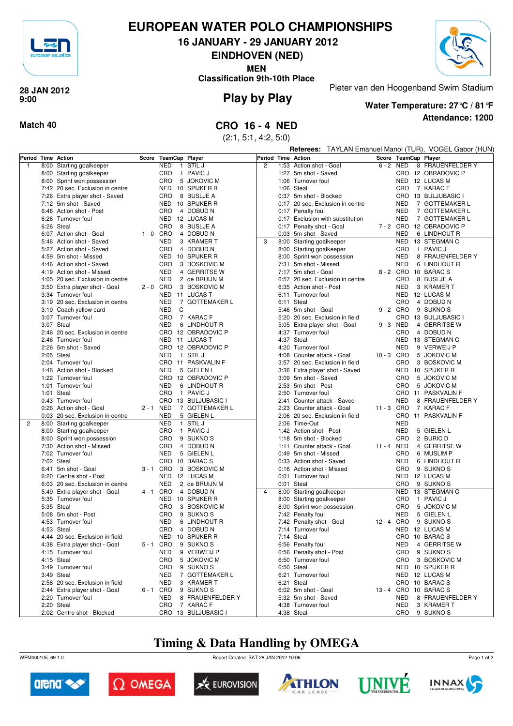

### **EUROPEAN WATER POLO CHAMPIONSHIPS**

**16 JANUARY - 29 JANUARY 2012**

**EINDHOVEN (NED)**

**MEN**

**Classification 9th-10th Place**



**Play by Play 28 JAN 2012 9:00**



**Water Temperature: 27°C / 81°F**

Pieter van den Hoogenband Swim Stadium

**Attendance: 1200**

**Match 40 CRO 16 - 4 NED**

(2:1, 5:1, 4:2, 5:0)

|                |      |                                                                  |             |                            |                                      |                    |      |                                   |            |                          | <b>Referees:</b> TAYLAN Emanuel Manol (TUR), VOGEL Gabor (HUN) |                                        |  |  |  |  |
|----------------|------|------------------------------------------------------------------|-------------|----------------------------|--------------------------------------|--------------------|------|-----------------------------------|------------|--------------------------|----------------------------------------------------------------|----------------------------------------|--|--|--|--|
| Period         |      | <b>Time Action</b>                                               | Score       | <b>TeamCap Player</b>      |                                      | Period Time Action |      |                                   |            |                          |                                                                | Score TeamCap Player                   |  |  |  |  |
| $\overline{1}$ | 8:00 | Starting goalkeeper                                              |             | <b>NED</b><br>$\mathbf{1}$ | STIL J                               | $\overline{2}$     |      | 1:53 Action shot - Goal           |            | 6-2 NED                  |                                                                | 8 FRAUENFELDER Y                       |  |  |  |  |
|                | 8:00 | Starting goalkeeper                                              |             | CRO                        | 1 PAVIC J                            |                    |      | 1:27 5m shot - Saved              |            |                          |                                                                | CRO 12 OBRADOVIC P                     |  |  |  |  |
|                |      | 8:00 Sprint won possession                                       |             | CRO                        | 5 JOKOVIC M                          |                    |      | 1:06 Turnover foul                |            |                          |                                                                | NED 12 LUCAS M                         |  |  |  |  |
|                |      | 7:42 20 sec. Exclusion in centre                                 |             |                            | NED 10 SPIJKER R                     |                    |      | 1:06 Steal                        |            | <b>CRO</b>               |                                                                | 7 KARAC F                              |  |  |  |  |
|                |      | 7:26 Extra player shot - Saved                                   |             | CRO                        | 8 BUSLJE A                           |                    |      | 0:37 5m shot - Blocked            |            |                          |                                                                | CRO 13 BULJUBASIC I                    |  |  |  |  |
|                |      | 7:12 5m shot - Saved                                             |             |                            | NED 10 SPIJKER R                     |                    |      | 0:17 20 sec. Exclusion in centre  |            | <b>NED</b>               |                                                                | 7 GOTTEMAKER L                         |  |  |  |  |
|                |      | 6:48 Action shot - Post                                          |             | CRO                        | 4 DOBUD N                            |                    |      | 0:17 Penalty foul                 |            | <b>NED</b>               |                                                                | 7 GOTTEMAKER L                         |  |  |  |  |
|                |      | 6:26 Turnover foul                                               |             |                            | NED 12 LUCAS M                       |                    |      | 0:17 Exclusion with substitution  |            | <b>NED</b>               |                                                                | 7 GOTTEMAKER L                         |  |  |  |  |
|                |      | 6:26 Steal                                                       |             | CRO                        | 8 BUSLJE A                           |                    |      | 0:17 Penalty shot - Goal          |            |                          |                                                                | 7-2 CRO 12 OBRADOVIC P                 |  |  |  |  |
|                |      | 6:07 Action shot - Goal                                          | $1 - 0$ CRO |                            | 4 DOBUD N                            |                    |      | 0:03 5m shot - Saved              |            | <b>NED</b>               |                                                                | 6 LINDHOUT R                           |  |  |  |  |
|                |      | 5:46 Action shot - Saved                                         |             | NED                        | 3 KRAMER T                           | 3                  |      | 8:00 Starting goalkeeper          |            | NED                      |                                                                | 13 STEGMAN C                           |  |  |  |  |
|                |      | 5:27 Action shot - Saved                                         |             | CRO                        | 4 DOBUD N                            |                    |      | 8:00 Starting goalkeeper          |            | CRO                      |                                                                | 1 PAVIC J                              |  |  |  |  |
|                |      | 4:59 5m shot - Missed                                            |             |                            | NED 10 SPIJKER R                     |                    |      | 8:00 Sprint won possession        |            | <b>NED</b>               |                                                                | 8 FRAUENFELDER Y                       |  |  |  |  |
|                |      | 4:46 Action shot - Saved                                         |             | CRO                        | 3 BOSKOVIC M                         |                    |      | 7:31 5m shot - Missed             |            | <b>NED</b>               |                                                                | 6 LINDHOUT R                           |  |  |  |  |
|                | 4:19 | Action shot - Missed                                             |             | <b>NED</b>                 | 4 GERRITSE W                         |                    |      | 7:17 5m shot - Goal               |            | 8-2 CRO                  |                                                                | 10 BARAC S                             |  |  |  |  |
|                |      | 4:05 20 sec. Exclusion in centre                                 |             | NED                        | 2 de BRUIJN M                        |                    |      | 6:57 20 sec. Exclusion in centre  |            | CRO                      |                                                                | 8 BUSLJE A                             |  |  |  |  |
|                |      | 3:50 Extra player shot - Goal                                    | $2 - 0$ CRO |                            | 3 BOSKOVIC M                         |                    | 6:35 | Action shot - Post                |            | <b>NED</b>               |                                                                | 3 KRAMER T                             |  |  |  |  |
|                |      | 3:34 Turnover foul                                               |             |                            | NED 11 LUCAS T                       |                    |      | 6:11 Turnover foul                |            |                          |                                                                | NED 12 LUCAS M                         |  |  |  |  |
|                |      | 3:19 20 sec. Exclusion in centre                                 |             | NED                        | 7 GOTTEMAKER L                       |                    |      | 6:11 Steal                        |            | CRO                      |                                                                | 4 DOBUD N                              |  |  |  |  |
|                |      | 3:19 Coach yellow card                                           |             | NED<br>C                   |                                      |                    |      | 5:46 5m shot - Goal               |            | 9-2 CRO                  |                                                                | 9 SUKNO <sub>S</sub>                   |  |  |  |  |
|                |      | 3:07 Turnover foul                                               |             | CRO                        | 7 KARAC F                            |                    | 5:20 | 20 sec. Exclusion in field        |            | CRO                      |                                                                | 13 BULJUBASIC I                        |  |  |  |  |
|                |      | 3:07 Steal                                                       |             | <b>NED</b>                 | 6 LINDHOUT R<br>CRO 12 OBRADOVIC P   |                    |      | 5:05 Extra player shot - Goal     |            | 9-3 NED                  |                                                                | 4 GERRITSE W                           |  |  |  |  |
|                |      | 2:46 20 sec. Exclusion in centre                                 |             |                            |                                      |                    |      | 4:37 Turnover foul                |            | CRO                      |                                                                | 4 DOBUD N<br>13 STEGMAN C              |  |  |  |  |
|                |      | 2:46 Turnover foul<br>2:26 5m shot - Saved                       |             |                            | NED 11 LUCAS T<br>CRO 12 OBRADOVIC P |                    |      | 4:37 Steal<br>4:20 Turnover foul  |            | <b>NED</b><br><b>NED</b> |                                                                | 9 VERWEIJ P                            |  |  |  |  |
|                |      | 2:05 Steal                                                       |             | NED<br>$\mathbf{1}$        | <b>STIL J</b>                        |                    |      | 4:08 Counter attack - Goal        | 10-3 CRO   |                          |                                                                | 5 JOKOVIC M                            |  |  |  |  |
|                |      | 2:04 Turnover foul                                               |             |                            | CRO 11 PASKVALIN F                   |                    |      | 3:57 20 sec. Exclusion in field   |            | CRO                      |                                                                | 3 BOSKOVIC M                           |  |  |  |  |
|                |      | 1:46 Action shot - Blocked                                       |             | <b>NED</b>                 | 5 GIELEN L                           |                    |      | 3:36 Extra player shot - Saved    |            | NED                      |                                                                | 10 SPIJKER R                           |  |  |  |  |
|                |      | 1:22 Turnover foul                                               |             |                            | CRO 12 OBRADOVIC P                   |                    |      | 3:09 5m shot - Saved              |            | CRO                      |                                                                | 5 JOKOVIC M                            |  |  |  |  |
|                | 1:01 | Turnover foul                                                    |             | NED                        | 6 LINDHOUT R                         |                    |      | 2:53 5m shot - Post               |            | CRO                      |                                                                | 5 JOKOVIC M                            |  |  |  |  |
|                |      | 1:01 Steal                                                       |             | CRO                        | 1 PAVIC J                            |                    |      | 2:50 Turnover foul                |            |                          |                                                                | CRO 11 PASKVALIN F                     |  |  |  |  |
|                |      | 0:43 Turnover foul                                               |             | CRO                        | 13 BULJUBASIC I                      |                    | 2:41 | Counter attack - Saved            |            | <b>NED</b>               |                                                                | 8 FRAUENFELDER Y                       |  |  |  |  |
|                |      | 0:26 Action shot - Goal                                          | 2 - 1 NED   |                            | 7 GOTTEMAKER L                       |                    |      | 2:23 Counter attack - Goal        | 11 - 3 CRO |                          |                                                                | 7 KARAC F                              |  |  |  |  |
|                |      | 0:03 20 sec. Exclusion in centre                                 |             | <b>NED</b>                 | 5 GIELEN L                           |                    |      | 2:06 20 sec. Exclusion in field   |            | CRO                      |                                                                | 11 PASKVALIN F                         |  |  |  |  |
| 2              | 8:00 | Starting goalkeeper                                              |             | NED                        | 1 STIL J                             |                    |      | 2:06 Time-Out                     |            | <b>NED</b>               |                                                                |                                        |  |  |  |  |
|                | 8:00 | Starting goalkeeper                                              |             | CRO                        | 1 PAVIC J                            |                    |      | 1:42 Action shot - Post           |            | <b>NED</b>               |                                                                | 5 GIELEN L                             |  |  |  |  |
|                | 8:00 | Sprint won possession                                            |             | CRO                        | 9 SUKNO <sub>S</sub>                 |                    |      | 1:18 5m shot - Blocked            |            | CRO                      |                                                                | 2 BURIC D                              |  |  |  |  |
|                |      | 7:30 Action shot - Missed                                        |             | CRO                        | 4 DOBUD N                            |                    |      | 1:11 Counter attack - Goal        | 11 - 4 NED |                          |                                                                | 4 GERRITSE W                           |  |  |  |  |
|                |      | 7:02 Turnover foul                                               |             | <b>NED</b>                 | 5 GIELEN L                           |                    |      | 0:49 5m shot - Missed             |            | CRO                      |                                                                | 6 MUSLIM P                             |  |  |  |  |
|                |      | 7:02 Steal                                                       |             |                            | CRO 10 BARACS                        |                    |      | 0:33 Action shot - Saved          |            | <b>NED</b>               |                                                                | 6 LINDHOUT R                           |  |  |  |  |
|                | 6:41 | 5m shot - Goal                                                   | 3-1 CRO     |                            | 3 BOSKOVIC M                         |                    |      | 0:16 Action shot - Missed         |            | CRO                      |                                                                | 9 SUKNO <sub>S</sub>                   |  |  |  |  |
|                |      | 6:20 Centre shot - Post                                          |             |                            | NED 12 LUCAS M                       |                    |      | 0:01 Turnover foul                |            |                          |                                                                | NED 12 LUCAS M                         |  |  |  |  |
|                | 6:03 | 20 sec. Exclusion in centre                                      |             | <b>NED</b>                 | 2 de BRUIJN M                        |                    |      | 0:01 Steal                        |            | CRO                      |                                                                | 9 SUKNO <sub>S</sub>                   |  |  |  |  |
|                |      | 5:49 Extra player shot - Goal                                    | 4 - 1 CRO   |                            | 4 DOBUD N                            | 4                  |      | 8:00 Starting goalkeeper          |            | <b>NED</b>               |                                                                | 13 STEGMAN C                           |  |  |  |  |
|                |      | 5:35 Turnover foul                                               |             |                            | NED 10 SPIJKER R                     |                    |      | 8:00 Starting goalkeeper          |            | CRO                      |                                                                | 1 PAVIC J                              |  |  |  |  |
|                |      | 5:35 Steal                                                       |             | CRO                        | 3 BOSKOVIC M                         |                    |      | 8:00 Sprint won possession        |            | CRO                      |                                                                | 5 JOKOVIC M                            |  |  |  |  |
|                |      | 5:08 5m shot - Post                                              |             | CRO                        | 9 SUKNO <sub>S</sub>                 |                    |      | 7:42 Penalty foul                 |            | <b>NED</b>               |                                                                | 5 GIELEN L                             |  |  |  |  |
|                |      | 4:53 Turnover foul                                               |             | NED                        | 6 LINDHOUT R                         |                    |      | 7:42 Penalty shot - Goal          | 12 - 4 CRO |                          |                                                                | 9 SUKNO <sub>S</sub>                   |  |  |  |  |
|                |      | 4:53 Steal                                                       |             |                            | CRO 4 DOBUD N                        |                    |      | 7:14 Turnover foul                |            |                          |                                                                | NED 12 LUCAS M                         |  |  |  |  |
|                |      | 4:44 20 sec. Exclusion in field                                  |             |                            | NED 10 SPIJKER R                     |                    |      | 7:14 Steal                        |            |                          |                                                                | CRO 10 BARACS                          |  |  |  |  |
|                |      | 4:38 Extra player shot - Goal                                    | 5-1 CRO     |                            | 9 SUKNO <sub>S</sub>                 |                    |      | 6:56 Penalty foul                 |            | NED                      |                                                                | 4 GERRITSE W                           |  |  |  |  |
|                |      | 4:15 Turnover foul                                               |             | NED                        | 9 VERWEIJ P                          |                    |      | 6:56 Penalty shot - Post          |            | <b>CRO</b>               |                                                                | 9 SUKNO <sub>S</sub><br>3 BOSKOVIC M   |  |  |  |  |
|                |      | 4:15 Steal                                                       |             | CRO                        | 5 JOKOVIC M                          |                    |      | 6:50 Turnover foul                |            | <b>CRO</b>               |                                                                |                                        |  |  |  |  |
|                |      | 3:49 Turnover foul                                               |             | CRO                        | 9 SUKNO <sub>S</sub>                 |                    |      | 6:50 Steal                        |            |                          |                                                                | NED 10 SPIJKER R                       |  |  |  |  |
|                |      | 3:49 Steal                                                       |             | NED                        | 7 GOTTEMAKER L                       |                    |      | 6:21 Turnover foul                |            |                          |                                                                | NED 12 LUCAS M                         |  |  |  |  |
|                |      | 2:58 20 sec. Exclusion in field<br>2:44 Extra player shot - Goal | 6-1 CRO     | NED                        | 3 KRAMER T<br>9 SUKNO <sub>S</sub>   |                    |      | 6:21 Steal<br>6:02 5m shot - Goal |            |                          |                                                                | CRO 10 BARACS<br>13 - 4 CRO 10 BARAC S |  |  |  |  |
|                |      | 2:20 Turnover foul                                               |             | NED                        | 8 FRAUENFELDER Y                     |                    |      | 5:32 5m shot - Saved              |            | <b>NED</b>               |                                                                | 8 FRAUENFELDER Y                       |  |  |  |  |
|                |      | 2:20 Steal                                                       |             | CRO                        | 7 KARAC F                            |                    |      | 4:38 Turnover foul                |            | <b>NED</b>               |                                                                | 3 KRAMER T                             |  |  |  |  |
|                |      | 2:02 Centre shot - Blocked                                       |             |                            | CRO 13 BULJUBASIC I                  |                    |      | 4:38 Steal                        |            |                          |                                                                | CRO 9 SUKNOS                           |  |  |  |  |
|                |      |                                                                  |             |                            |                                      |                    |      |                                   |            |                          |                                                                |                                        |  |  |  |  |

## **Timing & Data Handling by OMEGA**

WPM400105\_69 1.0 Report Created SAT 28 JAN 2012 10:06













Page 1 of 2